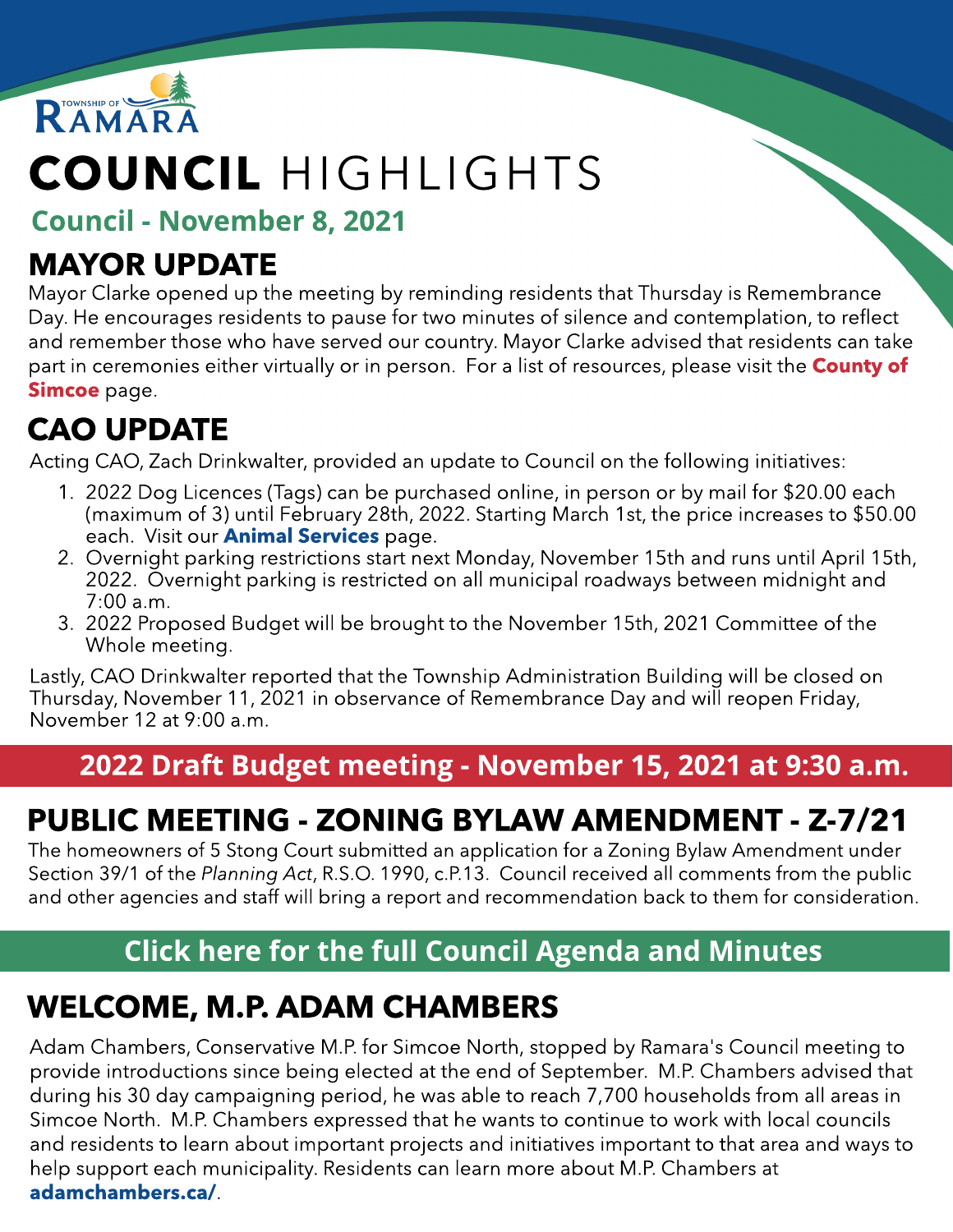

# COUNCIL HIGHLIGHTS

Council - Novem ber 8, 2021

### MAYOR UPDATE

Mayor Clarke opened up the meeting by reminding residents that Thursday is Remembrance Day. He encourages residents to pause for two minutes of silence and contemplation, to reflect and remember those who have served our country. Mayor Clarke advised that residents can take part in ceremonies either virtually or in person. For a list [of](https://www.simcoe.ca/CorporateCommunications/Pages/remembrance-day.aspx) resources, please visit the **[County](https://www.simcoe.ca/CorporateCommunications/Pages/remembrance-day.aspx) of** [Simcoe](https://www.simcoe.ca/CorporateCommunications/Pages/remembrance-day.aspx) page.

### CAO UPDATE

Acting CAO, Zach Drinkwalter, provided an update to Council on the following initiatives:

- 1. 2022 Dog Licences (Tags) can be purchased online, in person or by mail for \$20.00 each (maximum of 3) until February 28th, 2022. Starting March 1st, the price increases to \$50.00 each. Visit our **Animal Services** page.
- 2. Overnight parking restrictions start next Monday, November 15th and runs until April 15th, 2022. Overnight parking is restricted on all municipal roadways between midnight and 7:00 a.m.
- 3. 2022 Proposed Budget will be brought to the November 15th, 2021 Committee of the Whole meeting.

Lastly, CAO Drinkwalter reported that the Township Administration Building will be closed on Thursday, November 11, 2021 in observance of Remembrance Day and will reopen Friday, November 12 at 9:00 a.m.

#### 2022 Draft Budget meeting - November 15, 2021 at 9:30 a.m.

### PUBLIC MEETING - ZONING BYLAW AMENDMENT - Z-7/21

The homeowners of 5 Stong Court submitted an application for a Zoning Bylaw Amendment under Section 39/1 of the **Planning Act**, R.S.O. 1990, c.P.13. Council received all comments from the public and other agencies and staff will bring a report and recommendation back to them for consideration.

#### [Click](https://ramara.civicweb.net/portal/) [here](https://ramara.civicweb.net/portal/) [for](https://ramara.civicweb.net/portal/) t[he](https://ramara.civicweb.net/portal/) [full](https://ramara.civicweb.net/portal/) [Council](https://ramara.civicweb.net/portal/) [Agenda](https://ramara.civicweb.net/portal/) [and](https://ramara.civicweb.net/portal/) [Minut](https://ramara.civicweb.net/portal/)es

### WELCOME, M.P. ADAM CHAMBERS

[Adam](https://ramara.civicweb.net/Portal/BoardApplication) [Chambers,](https://ramara.civicweb.net/Portal/BoardApplication) [Conservative](https://ramara.civicweb.net/Portal/BoardApplication) [M.P.](https://ramara.civicweb.net/Portal/BoardApplication) [for](https://ramara.civicweb.net/Portal/BoardApplication) [Simcoe](https://ramara.civicweb.net/Portal/BoardApplication) [North,](https://ramara.civicweb.net/Portal/BoardApplication) stopped by Ramara's Council meeting to provide introductions since being elected at the end of September. M.P. Chambers advised that during his 30 day campaigning period, he was able to reach 7,700 households from all areas in Simcoe North. M.P. Chambers expressed that he wants to continue to work with local councils and residents to learn about important projects and initiatives important to that area and ways to help support each municipality. Residents can learn more about M.P. Chambers at adamchambers.ca/.